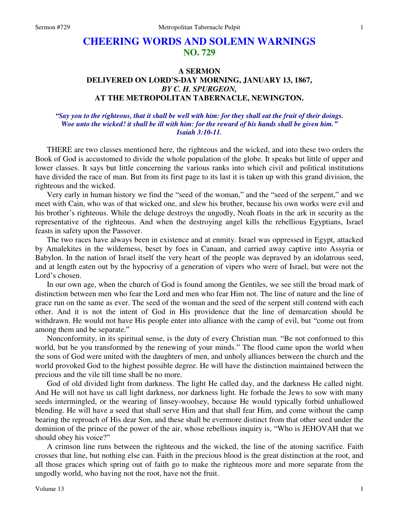# **CHEERING WORDS AND SOLEMN WARNINGS NO. 729**

## **A SERMON DELIVERED ON LORD'S-DAY MORNING, JANUARY 13, 1867,**  *BY C. H. SPURGEON,*  **AT THE METROPOLITAN TABERNACLE, NEWINGTON.**

### *"Say you to the righteous, that it shall be well with him: for they shall eat the fruit of their doings. Woe unto the wicked! it shall be ill with him: for the reward of his hands shall be given him." Isaiah 3:10-11.*

 THERE are two classes mentioned here, the righteous and the wicked, and into these two orders the Book of God is accustomed to divide the whole population of the globe. It speaks but little of upper and lower classes. It says but little concerning the various ranks into which civil and political institutions have divided the race of man. But from its first page to its last it is taken up with this grand division, the righteous and the wicked.

 Very early in human history we find the "seed of the woman," and the "seed of the serpent," and we meet with Cain, who was of that wicked one, and slew his brother, because his own works were evil and his brother's righteous. While the deluge destroys the ungodly, Noah floats in the ark in security as the representative of the righteous. And when the destroying angel kills the rebellious Egyptians, Israel feasts in safety upon the Passover.

 The two races have always been in existence and at enmity. Israel was oppressed in Egypt, attacked by Amalekites in the wilderness, beset by foes in Canaan, and carried away captive into Assyria or Babylon. In the nation of Israel itself the very heart of the people was depraved by an idolatrous seed, and at length eaten out by the hypocrisy of a generation of vipers who were of Israel, but were not the Lord's chosen.

 In our own age, when the church of God is found among the Gentiles, we see still the broad mark of distinction between men who fear the Lord and men who fear Him not. The line of nature and the line of grace run on the same as ever. The seed of the woman and the seed of the serpent still contend with each other. And it is not the intent of God in His providence that the line of demarcation should be withdrawn. He would not have His people enter into alliance with the camp of evil, but "come out from among them and be separate."

 Nonconformity, in its spiritual sense, is the duty of every Christian man. "Be not conformed to this world, but be you transformed by the renewing of your minds." The flood came upon the world when the sons of God were united with the daughters of men, and unholy alliances between the church and the world provoked God to the highest possible degree. He will have the distinction maintained between the precious and the vile till time shall be no more.

 God of old divided light from darkness. The light He called day, and the darkness He called night. And He will not have us call light darkness, nor darkness light. He forbade the Jews to sow with many seeds intermingled, or the wearing of linsey-woolsey, because He would typically forbid unhallowed blending. He will have a seed that shall serve Him and that shall fear Him, and come without the camp bearing the reproach of His dear Son, and these shall be evermore distinct from that other seed under the dominion of the prince of the power of the air, whose rebellious inquiry is, "Who is JEHOVAH that we should obey his voice?"

 A crimson line runs between the righteous and the wicked, the line of the atoning sacrifice. Faith crosses that line, but nothing else can. Faith in the precious blood is the great distinction at the root, and all those graces which spring out of faith go to make the righteous more and more separate from the ungodly world, who having not the root, have not the fruit.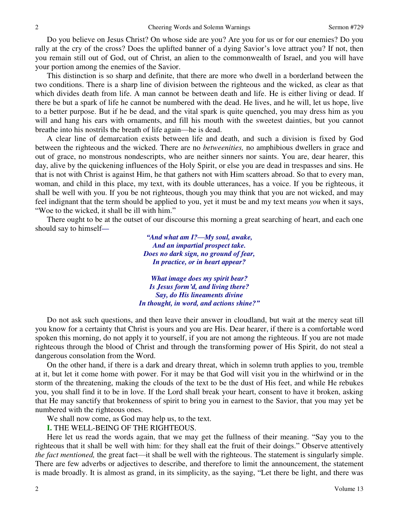Do you believe on Jesus Christ? On whose side are you? Are you for us or for our enemies? Do you rally at the cry of the cross? Does the uplifted banner of a dying Savior's love attract you? If not, then you remain still out of God, out of Christ, an alien to the commonwealth of Israel, and you will have your portion among the enemies of the Savior.

 This distinction is so sharp and definite, that there are more who dwell in a borderland between the two conditions. There is a sharp line of division between the righteous and the wicked, as clear as that which divides death from life. A man cannot be between death and life. He is either living or dead. If there be but a spark of life he cannot be numbered with the dead. He lives, and he will, let us hope, live to a better purpose. But if he be dead, and the vital spark is quite quenched, you may dress him as you will and hang his ears with ornaments, and fill his mouth with the sweetest dainties, but you cannot breathe into his nostrils the breath of life again—he is dead.

 A clear line of demarcation exists between life and death, and such a division is fixed by God between the righteous and the wicked. There are no *betweenities,* no amphibious dwellers in grace and out of grace, no monstrous nondescripts, who are neither sinners nor saints. You are, dear hearer, this day, alive by the quickening influences of the Holy Spirit, or else you are dead in trespasses and sins. He that is not with Christ is against Him, he that gathers not with Him scatters abroad. So that to every man, woman, and child in this place, my text, with its double utterances, has a voice. If you be righteous, it shall be well with you. If you be not righteous, though you may think that you are not wicked, and may feel indignant that the term should be applied to you, yet it must be and my text means *you* when it says, "Woe to the wicked, it shall be ill with him."

 There ought to be at the outset of our discourse this morning a great searching of heart, and each one should say to himself*—*

> *"And what am I?—My soul, awake, And an impartial prospect take. Does no dark sign, no ground of fear, In practice, or in heart appear?*

*What image does my spirit bear? Is Jesus form'd, and living there? Say, do His lineaments divine In thought, in word, and actions shine?"*

 Do not ask such questions, and then leave their answer in cloudland, but wait at the mercy seat till you know for a certainty that Christ is yours and you are His. Dear hearer, if there is a comfortable word spoken this morning, do not apply it to yourself, if you are not among the righteous. If you are not made righteous through the blood of Christ and through the transforming power of His Spirit, do not steal a dangerous consolation from the Word.

 On the other hand, if there is a dark and dreary threat, which in solemn truth applies to you, tremble at it, but let it come home with power. For it may be that God will visit you in the whirlwind or in the storm of the threatening, making the clouds of the text to be the dust of His feet, and while He rebukes you, you shall find it to be in love. If the Lord shall break your heart, consent to have it broken, asking that He may sanctify that brokenness of spirit to bring you in earnest to the Savior, that you may yet be numbered with the righteous ones.

We shall now come, as God may help us, to the text.

**I.** THE WELL-BEING OF THE RIGHTEOUS.

 Here let us read the words again, that we may get the fullness of their meaning. "Say you to the righteous that it shall be well with him: for they shall eat the fruit of their doings." Observe attentively *the fact mentioned,* the great fact—it shall be well with the righteous. The statement is singularly simple. There are few adverbs or adjectives to describe, and therefore to limit the announcement, the statement is made broadly. It is almost as grand, in its simplicity, as the saying, "Let there be light, and there was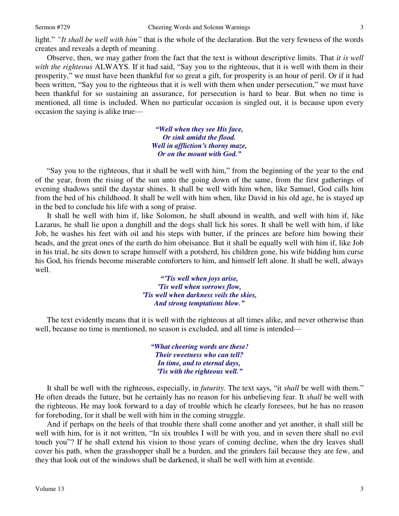light." *"It shall be well with him"* that is the whole of the declaration. But the very fewness of the words creates and reveals a depth of meaning.

 Observe, then, we may gather from the fact that the text is without descriptive limits. That *it is well with the righteous* ALWAYS. If it had said, "Say you to the righteous, that it is well with them in their prosperity," we must have been thankful for so great a gift, for prosperity is an hour of peril. Or if it had been written, "Say you to the righteous that it is well with them when under persecution," we must have been thankful for so sustaining an assurance, for persecution is hard to bear. But when no time is mentioned, all time is included. When no particular occasion is singled out, it is because upon every occasion the saying is alike true—

> *"Well when they see His face, Or sink amidst the flood. Well in affliction's thorny maze, Or on the mount with God."*

"Say you to the righteous, that it shall be well with him," from the beginning of the year to the end of the year, from the rising of the sun unto the going down of the same, from the first gatherings of evening shadows until the daystar shines. It shall be well with him when, like Samuel, God calls him from the bed of his childhood. It shall be well with him when, like David in his old age, he is stayed up in the bed to conclude his life with a song of praise.

 It shall be well with him if, like Solomon, he shall abound in wealth, and well with him if, like Lazarus, he shall lie upon a dunghill and the dogs shall lick his sores. It shall be well with him, if like Job, he washes his feet with oil and his steps with butter, if the princes are before him bowing their heads, and the great ones of the earth do him obeisance. But it shall be equally well with him if, like Job in his trial, he sits down to scrape himself with a potsherd, his children gone, his wife bidding him curse his God, his friends become miserable comforters to him, and himself left alone. It shall be well, always well.

> *"'Tis well when joys arise, 'Tis well when sorrows flow, 'Tis well when darkness veils the skies, And strong temptations blow."*

The text evidently means that it is well with the righteous at all times alike, and never otherwise than well, because no time is mentioned, no season is excluded, and all time is intended—

> *"What cheering words are these! Their sweetness who can tell? In time, and to eternal days, 'Tis with the righteous well."*

 It shall be well with the righteous, especially, in *futurity.* The text says, "it *shall* be well with them." He often dreads the future, but he certainly has no reason for his unbelieving fear. It *shall* be well with the righteous. He may look forward to a day of trouble which he clearly foresees, but he has no reason for foreboding, for it shall be well with him in the coming struggle.

 And if perhaps on the heels of that trouble there shall come another and yet another, it shall still be well with him, for is it not written, "In six troubles I will be with you, and in seven there shall no evil touch you"? If he shall extend his vision to those years of coming decline, when the dry leaves shall cover his path, when the grasshopper shall be a burden, and the grinders fail because they are few, and they that look out of the windows shall be darkened, it shall be well with him at eventide.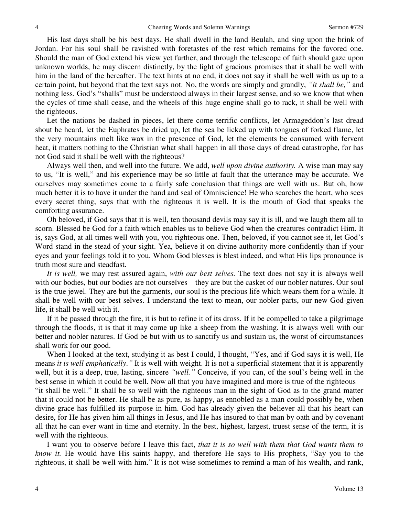His last days shall be his best days. He shall dwell in the land Beulah, and sing upon the brink of Jordan. For his soul shall be ravished with foretastes of the rest which remains for the favored one. Should the man of God extend his view yet further, and through the telescope of faith should gaze upon unknown worlds, he may discern distinctly, by the light of gracious promises that it shall be well with him in the land of the hereafter. The text hints at no end, it does not say it shall be well with us up to a certain point, but beyond that the text says not. No, the words are simply and grandly, *"it shall be,"* and nothing less. God's "shalls" must be understood always in their largest sense, and so we know that when the cycles of time shall cease, and the wheels of this huge engine shall go to rack, it shall be well with the righteous.

 Let the nations be dashed in pieces, let there come terrific conflicts, let Armageddon's last dread shout be heard, let the Euphrates be dried up, let the sea be licked up with tongues of forked flame, let the very mountains melt like wax in the presence of God, let the elements be consumed with fervent heat, it matters nothing to the Christian what shall happen in all those days of dread catastrophe, for has not God said it shall be well with the righteous?

 Always well then, and well into the future. We add, *well upon divine authority.* A wise man may say to us, "It is well," and his experience may be so little at fault that the utterance may be accurate. We ourselves may sometimes come to a fairly safe conclusion that things are well with us. But oh, how much better it is to have it under the hand and seal of Omniscience! He who searches the heart, who sees every secret thing, says that with the righteous it is well. It is the mouth of God that speaks the comforting assurance.

 Oh beloved, if God says that it is well, ten thousand devils may say it is ill, and we laugh them all to scorn. Blessed be God for a faith which enables us to believe God when the creatures contradict Him. It is, says God, at all times well with you, you righteous one. Then, beloved, if you cannot see it, let God's Word stand in the stead of your sight. Yea, believe it on divine authority more confidently than if your eyes and your feelings told it to you. Whom God blesses is blest indeed, and what His lips pronounce is truth most sure and steadfast.

*It is well,* we may rest assured again, *with our best selves.* The text does not say it is always well with our bodies, but our bodies are not ourselves—they are but the casket of our nobler natures. Our soul is the true jewel. They are but the garments, our soul is the precious life which wears them for a while. It shall be well with our best selves. I understand the text to mean, our nobler parts, our new God-given life, it shall be well with it.

 If it be passed through the fire, it is but to refine it of its dross. If it be compelled to take a pilgrimage through the floods, it is that it may come up like a sheep from the washing. It is always well with our better and nobler natures. If God be but with us to sanctify us and sustain us, the worst of circumstances shall work for our good.

 When I looked at the text, studying it as best I could, I thought, "Yes, and if God says it is well, He means *it is well emphatically*.*"* It is well with weight. It is not a superficial statement that it is apparently well, but it is a deep, true, lasting, sincere *"well."* Conceive, if you can, of the soul's being well in the best sense in which it could be well. Now all that you have imagined and more is true of the righteous— "it shall be well." It shall be so well with the righteous man in the sight of God as to the grand matter that it could not be better. He shall be as pure, as happy, as ennobled as a man could possibly be, when divine grace has fulfilled its purpose in him. God has already given the believer all that his heart can desire, for He has given him all things in Jesus, and He has insured to that man by oath and by covenant all that he can ever want in time and eternity. In the best, highest, largest, truest sense of the term, it is well with the righteous.

 I want you to observe before I leave this fact, *that it is so well with them that God wants them to know it.* He would have His saints happy, and therefore He says to His prophets, "Say you to the righteous, it shall be well with him." It is not wise sometimes to remind a man of his wealth, and rank,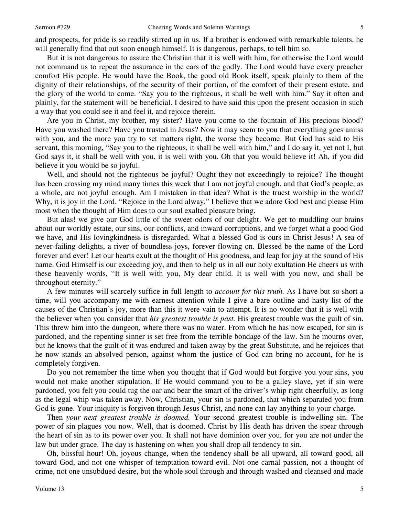and prospects, for pride is so readily stirred up in us. If a brother is endowed with remarkable talents, he will generally find that out soon enough himself. It is dangerous, perhaps, to tell him so.

 But it is not dangerous to assure the Christian that it is well with him, for otherwise the Lord would not command us to repeat the assurance in the ears of the godly. The Lord would have every preacher comfort His people. He would have the Book, the good old Book itself, speak plainly to them of the dignity of their relationships, of the security of their portion, of the comfort of their present estate, and the glory of the world to come. "Say you to the righteous, it shall be well with him." Say it often and plainly, for the statement will be beneficial. I desired to have said this upon the present occasion in such a way that you could see it and feel it, and rejoice therein.

 Are you in Christ, my brother, my sister? Have you come to the fountain of His precious blood? Have you washed there? Have you trusted in Jesus? Now it may seem to you that everything goes amiss with you, and the more you try to set matters right, the worse they become. But God has said to His servant, this morning, "Say you to the righteous, it shall be well with him," and I do say it, yet not I, but God says it, it shall be well with you, it is well with you. Oh that you would believe it! Ah, if you did believe it you would be so joyful.

 Well, and should not the righteous be joyful? Ought they not exceedingly to rejoice? The thought has been crossing my mind many times this week that I am not joyful enough, and that God's people, as a whole, are not joyful enough. Am I mistaken in that idea? What is the truest worship in the world? Why, it is joy in the Lord. "Rejoice in the Lord alway." I believe that we adore God best and please Him most when the thought of Him does to our soul exalted pleasure bring.

 But alas! we give our God little of the sweet odors of our delight. We get to muddling our brains about our worldly estate, our sins, our conflicts, and inward corruptions, and we forget what a good God we have, and His lovingkindness is disregarded. What a blessed God is ours in Christ Jesus! A sea of never-failing delights, a river of boundless joys, forever flowing on. Blessed be the name of the Lord forever and ever! Let our hearts exult at the thought of His goodness, and leap for joy at the sound of His name. God Himself is our exceeding joy, and then to help us in all our holy exultation He cheers us with these heavenly words, "It is well with you, My dear child. It is well with you now, and shall be throughout eternity."

 A few minutes will scarcely suffice in full length to *account for this truth.* As I have but so short a time, will you accompany me with earnest attention while I give a bare outline and hasty list of the causes of the Christian's joy, more than this it were vain to attempt. It is no wonder that it is well with the believer when you consider that *his greatest trouble is past.* His greatest trouble was the guilt of sin. This threw him into the dungeon, where there was no water. From which he has now escaped, for sin is pardoned, and the repenting sinner is set free from the terrible bondage of the law. Sin he mourns over, but he knows that the guilt of it was endured and taken away by the great Substitute, and he rejoices that he now stands an absolved person, against whom the justice of God can bring no account, for he is completely forgiven.

 Do you not remember the time when you thought that if God would but forgive you your sins, you would not make another stipulation. If He would command you to be a galley slave, yet if sin were pardoned, you felt you could tug the oar and bear the smart of the driver's whip right cheerfully, as long as the legal whip was taken away. Now, Christian, your sin is pardoned, that which separated you from God is gone. Your iniquity is forgiven through Jesus Christ, and none can lay anything to your charge.

 Then *your next greatest trouble is doomed.* Your second greatest trouble is indwelling sin. The power of sin plagues you now. Well, that is doomed. Christ by His death has driven the spear through the heart of sin as to its power over you. It shall not have dominion over you, for you are not under the law but under grace. The day is hastening on when you shall drop all tendency to sin.

 Oh, blissful hour! Oh, joyous change, when the tendency shall be all upward, all toward good, all toward God, and not one whisper of temptation toward evil. Not one carnal passion, not a thought of crime, not one unsubdued desire, but the whole soul through and through washed and cleansed and made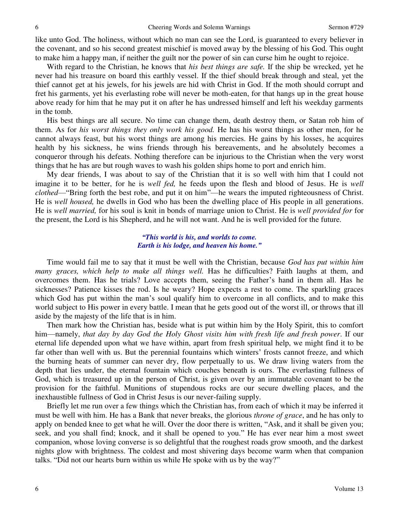like unto God. The holiness, without which no man can see the Lord, is guaranteed to every believer in the covenant, and so his second greatest mischief is moved away by the blessing of his God. This ought to make him a happy man, if neither the guilt nor the power of sin can curse him he ought to rejoice.

 With regard to the Christian, he knows that *his best things are safe.* If the ship be wrecked, yet he never had his treasure on board this earthly vessel. If the thief should break through and steal, yet the thief cannot get at his jewels, for his jewels are hid with Christ in God. If the moth should corrupt and fret his garments, yet his everlasting robe will never be moth-eaten, for that hangs up in the great house above ready for him that he may put it on after he has undressed himself and left his weekday garments in the tomb.

 His best things are all secure. No time can change them, death destroy them, or Satan rob him of them. As for *his worst things they only work his good.* He has his worst things as other men, for he cannot always feast, but his worst things are among his mercies. He gains by his losses, he acquires health by his sickness, he wins friends through his bereavements, and he absolutely becomes a conqueror through his defeats. Nothing therefore can be injurious to the Christian when the very worst things that he has are but rough waves to wash his golden ships home to port and enrich him.

 My dear friends, I was about to say of the Christian that it is so well with him that I could not imagine it to be better, for he is *well fed,* he feeds upon the flesh and blood of Jesus. He is *well clothed*—"Bring forth the best robe, and put it on him"—he wears the imputed righteousness of Christ. He is *well housed,* he dwells in God who has been the dwelling place of His people in all generations. He is *well married,* for his soul is knit in bonds of marriage union to Christ. He is *well provided for* for the present, the Lord is his Shepherd, and he will not want. And he is well provided for the future.

#### *"This world is his, and worlds to come. Earth is his lodge, and heaven his home."*

 Time would fail me to say that it must be well with the Christian, because *God has put within him many graces, which help to make all things well.* Has he difficulties? Faith laughs at them, and overcomes them. Has he trials? Love accepts them, seeing the Father's hand in them all. Has he sicknesses? Patience kisses the rod. Is he weary? Hope expects a rest to come. The sparkling graces which God has put within the man's soul qualify him to overcome in all conflicts, and to make this world subject to His power in every battle. I mean that he gets good out of the worst ill, or throws that ill aside by the majesty of the life that is in him.

 Then mark how the Christian has, beside what is put within him by the Holy Spirit, this to comfort him—namely, *that day by day God the Holy Ghost visits him with fresh life and fresh power*. If our eternal life depended upon what we have within, apart from fresh spiritual help, we might find it to be far other than well with us. But the perennial fountains which winters' frosts cannot freeze, and which the burning heats of summer can never dry, flow perpetually to us. We draw living waters from the depth that lies under, the eternal fountain which couches beneath is ours. The everlasting fullness of God, which is treasured up in the person of Christ, is given over by an immutable covenant to be the provision for the faithful. Munitions of stupendous rocks are our secure dwelling places, and the inexhaustible fullness of God in Christ Jesus is our never-failing supply.

 Briefly let me run over a few things which the Christian has, from each of which it may be inferred it must be well with him. He has a Bank that never breaks, the glorious *throne of grace*, and he has only to apply on bended knee to get what he will. Over the door there is written, "Ask, and it shall be given you; seek, and you shall find; knock, and it shall be opened to you." He has ever near him a most sweet companion, whose loving converse is so delightful that the roughest roads grow smooth, and the darkest nights glow with brightness. The coldest and most shivering days become warm when that companion talks. "Did not our hearts burn within us while He spoke with us by the way?"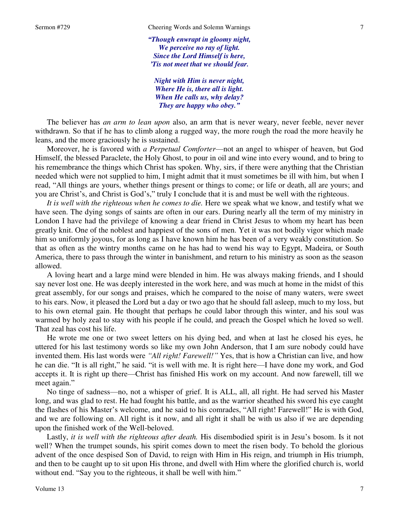*"Though enwrapt in gloomy night, We perceive no ray of light. Since the Lord Himself is here, 'Tis not meet that we should fear.* 

*Night with Him is never night, Where He is, there all is light. When He calls us, why delay? They are happy who obey."*

 The believer has *an arm to lean upon* also, an arm that is never weary, never feeble, never never withdrawn. So that if he has to climb along a rugged way, the more rough the road the more heavily he leans, and the more graciously he is sustained.

 Moreover, he is favored with *a Perpetual Comforter*—not an angel to whisper of heaven, but God Himself, the blessed Paraclete, the Holy Ghost, to pour in oil and wine into every wound, and to bring to his remembrance the things which Christ has spoken. Why, sirs, if there were anything that the Christian needed which were not supplied to him, I might admit that it must sometimes be ill with him, but when I read, "All things are yours, whether things present or things to come; or life or death, all are yours; and you are Christ's, and Christ is God's," truly I conclude that it is and must be well with the righteous.

*It is well with the righteous when he comes to die.* Here we speak what we know, and testify what we have seen. The dying songs of saints are often in our ears. During nearly all the term of my ministry in London I have had the privilege of knowing a dear friend in Christ Jesus to whom my heart has been greatly knit. One of the noblest and happiest of the sons of men. Yet it was not bodily vigor which made him so uniformly joyous, for as long as I have known him he has been of a very weakly constitution. So that as often as the wintry months came on he has had to wend his way to Egypt, Madeira, or South America, there to pass through the winter in banishment, and return to his ministry as soon as the season allowed.

 A loving heart and a large mind were blended in him. He was always making friends, and I should say never lost one. He was deeply interested in the work here, and was much at home in the midst of this great assembly, for our songs and praises, which he compared to the noise of many waters, were sweet to his ears. Now, it pleased the Lord but a day or two ago that he should fall asleep, much to my loss, but to his own eternal gain. He thought that perhaps he could labor through this winter, and his soul was warmed by holy zeal to stay with his people if he could, and preach the Gospel which he loved so well. That zeal has cost his life.

 He wrote me one or two sweet letters on his dying bed, and when at last he closed his eyes, he uttered for his last testimony words so like my own John Anderson, that I am sure nobody could have invented them. His last words were *"All right! Farewell!"* Yes, that is how a Christian can live, and how he can die. "It is all right," he said. "it is well with me. It is right here—I have done my work, and God accepts it. It is right up there—Christ has finished His work on my account. And now farewell, till we meet again."

 No tinge of sadness—no, not a whisper of grief. It is ALL, all, all right. He had served his Master long, and was glad to rest. He had fought his battle, and as the warrior sheathed his sword his eye caught the flashes of his Master's welcome, and he said to his comrades, "All right! Farewell!" He is with God, and we are following on. All right is it now, and all right it shall be with us also if we are depending upon the finished work of the Well-beloved.

Lastly, *it is well with the righteous after death*. His disembodied spirit is in Jesu's bosom. Is it not well? When the trumpet sounds, his spirit comes down to meet the risen body. To behold the glorious advent of the once despised Son of David, to reign with Him in His reign, and triumph in His triumph, and then to be caught up to sit upon His throne, and dwell with Him where the glorified church is, world without end. "Say you to the righteous, it shall be well with him."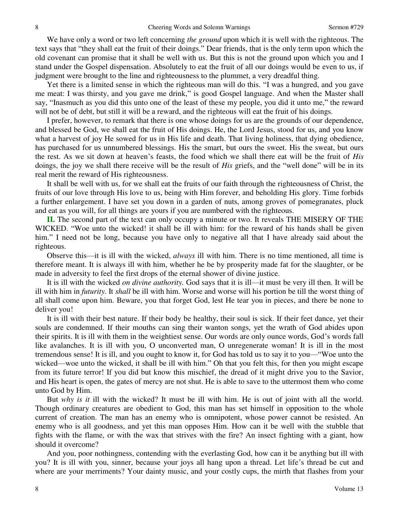We have only a word or two left concerning *the ground* upon which it is well with the righteous. The text says that "they shall eat the fruit of their doings." Dear friends, that is the only term upon which the old covenant can promise that it shall be well with us. But this is not the ground upon which you and I stand under the Gospel dispensation. Absolutely to eat the fruit of all our doings would be even to us, if judgment were brought to the line and righteousness to the plummet, a very dreadful thing.

 Yet there is a limited sense in which the righteous man will do this. "I was a hungred, and you gave me meat: I was thirsty, and you gave me drink," is good Gospel language. And when the Master shall say, "Inasmuch as you did this unto one of the least of these my people, you did it unto me," the reward will not be of debt, but still it will be a reward, and the righteous will eat the fruit of his doings.

 I prefer, however, to remark that there is one whose doings for us are the grounds of our dependence, and blessed be God, we shall eat the fruit of His doings. He, the Lord Jesus, stood for us, and you know what a harvest of joy He sowed for us in His life and death. That living holiness, that dying obedience, has purchased for us unnumbered blessings. His the smart, but ours the sweet. His the sweat, but ours the rest. As we sit down at heaven's feasts, the food which we shall there eat will be the fruit of *His* doings, the joy we shall there receive will be the result of *His* griefs, and the "well done" will be in its real merit the reward of His righteousness.

 It shall be well with us, for we shall eat the fruits of our faith through the righteousness of Christ, the fruits of our love through His love to us, being with Him forever, and beholding His glory. Time forbids a further enlargement. I have set you down in a garden of nuts, among groves of pomegranates, pluck and eat as you will, for all things are yours if you are numbered with the righteous.

**II.** The second part of the text can only occupy a minute or two. It reveals THE MISERY OF THE WICKED. "Woe unto the wicked! it shall be ill with him: for the reward of his hands shall be given him." I need not be long, because you have only to negative all that I have already said about the righteous.

 Observe this—it is ill with the wicked, *always* ill with him. There is no time mentioned, all time is therefore meant. It is always ill with him, whether he be by prosperity made fat for the slaughter, or be made in adversity to feel the first drops of the eternal shower of divine justice.

 It is ill with the wicked *on divine authority.* God says that it is ill—it must be very ill then. It will be ill with him in *futurity.* It *shall* be ill with him. Worse and worse will his portion be till the worst thing of all shall come upon him. Beware, you that forget God, lest He tear you in pieces, and there be none to deliver you!

 It is ill with their best nature. If their body be healthy, their soul is sick. If their feet dance, yet their souls are condemned. If their mouths can sing their wanton songs, yet the wrath of God abides upon their spirits. It is ill with them in the weightiest sense. Our words are only ounce words, God's words fall like avalanches. It is ill with you, O unconverted man, O unregenerate woman! It is ill in the most tremendous sense! It is ill, and you ought to know it, for God has told us to say it to you—"Woe unto the wicked—woe unto the wicked, it shall be ill with him." Oh that you felt this, for then you might escape from its future terror! If you did but know this mischief, the dread of it might drive you to the Savior, and His heart is open, the gates of mercy are not shut. He is able to save to the uttermost them who come unto God by Him.

 But *why is it* ill with the wicked? It must be ill with him. He is out of joint with all the world. Though ordinary creatures are obedient to God, this man has set himself in opposition to the whole current of creation. The man has an enemy who is omnipotent, whose power cannot be resisted. An enemy who is all goodness, and yet this man opposes Him. How can it be well with the stubble that fights with the flame, or with the wax that strives with the fire? An insect fighting with a giant, how should it overcome?

 And you, poor nothingness, contending with the everlasting God, how can it be anything but ill with you? It is ill with you, sinner, because your joys all hang upon a thread. Let life's thread be cut and where are your merriments? Your dainty music, and your costly cups, the mirth that flashes from your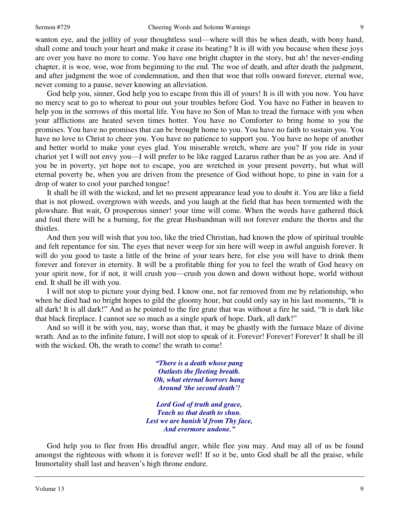wanton eye, and the jollity of your thoughtless soul—where will this be when death, with bony hand, shall come and touch your heart and make it cease its beating? It is ill with you because when these joys are over you have no more to come. You have one bright chapter in the story, but ah! the never-ending chapter, it is woe, woe, woe from beginning to the end. The woe of death, and after death the judgment, and after judgment the woe of condemnation, and then that woe that rolls onward forever, eternal woe, never coming to a pause, never knowing an alleviation.

 God help you, sinner, God help you to escape from this ill of yours! It is ill with you now. You have no mercy seat to go to whereat to pour out your troubles before God. You have no Father in heaven to help you in the sorrows of this mortal life. You have no Son of Man to tread the furnace with you when your afflictions are heated seven times hotter. You have no Comforter to bring home to you the promises. You have no promises that can be brought home to you. You have no faith to sustain you. You have no love to Christ to cheer you. You have no patience to support you. You have no hope of another and better world to make your eyes glad. You miserable wretch, where are you? If you ride in your chariot yet I will not envy you—I will prefer to be like ragged Lazarus rather than be as you are. And if you be in poverty, yet hope not to escape, you are wretched in your present poverty, but what will eternal poverty be, when you are driven from the presence of God without hope, to pine in vain for a drop of water to cool your parched tongue!

 It shall be ill with the wicked, and let no present appearance lead you to doubt it. You are like a field that is not plowed, overgrown with weeds, and you laugh at the field that has been tormented with the plowshare. But wait, O prosperous sinner! your time will come. When the weeds have gathered thick and foul there will be a burning, for the great Husbandman will not forever endure the thorns and the thistles.

 And then you will wish that you too, like the tried Christian, had known the plow of spiritual trouble and felt repentance for sin. The eyes that never weep for sin here will weep in awful anguish forever. It will do you good to taste a little of the brine of your tears here, for else you will have to drink them forever and forever in eternity. It will be a profitable thing for you to feel the wrath of God heavy on your spirit now, for if not, it will crush you—crush you down and down without hope, world without end. It shall be ill with you.

 I will not stop to picture your dying bed. I know one, not far removed from me by relationship, who when he died had no bright hopes to gild the gloomy hour, but could only say in his last moments, "It is all dark! It is all dark!" And as he pointed to the fire grate that was without a fire he said, "It is dark like that black fireplace. I cannot see so much as a single spark of hope. Dark, all dark!"

 And so will it be with you, nay, worse than that, it may be ghastly with the furnace blaze of divine wrath. And as to the infinite future, I will not stop to speak of it. Forever! Forever! Forever! It shall be ill with the wicked. Oh, the wrath to come! the wrath to come!

> *"There is a death whose pang Outlasts the fleeting breath. Oh, what eternal horrors hang Around 'the second death'!*

*Lord God of truth and grace, Teach us that death to shun. Lest we are banish'd from Thy face, And evermore undone."*

God help you to flee from His dreadful anger, while flee you may. And may all of us be found amongst the righteous with whom it is forever well! If so it be, unto God shall be all the praise, while Immortality shall last and heaven's high throne endure.